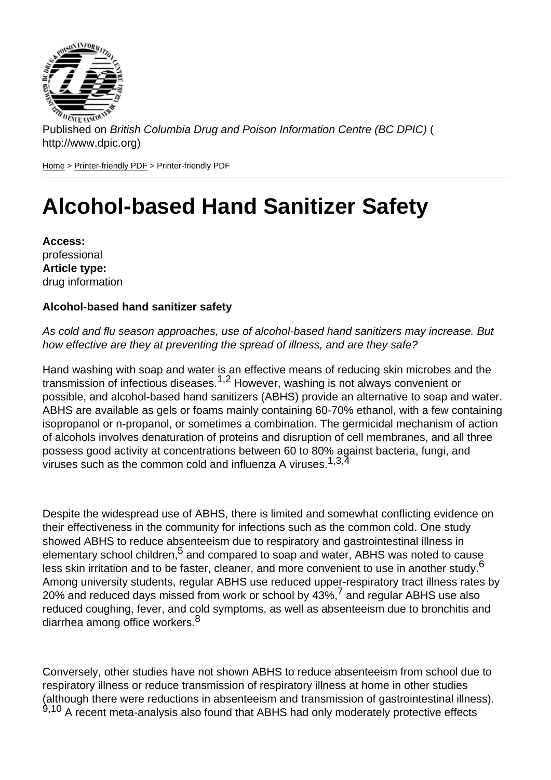Published on British Columbia Drug and Poison Information Centre (BC DPIC) ( http://www.dpic.org)

Home > Printer-friendly PDF > Printer-friendly PDF

## [Alc](http://www.dpic.org/)[ohol-ba](http://www.dpic.org/printpdf)sed Hand Sanitizer Safety

Access: professional Article type: drug information

Alcohol-based hand sanitizer safety

As cold and flu season approaches, use of alcohol-based hand sanitizers may increase. But how effective are they at preventing the spread of illness, and are they safe?

Hand washing with soap and water is an effective means of reducing skin microbes and the transmission of infectious diseases.1,2 However, washing is not always convenient or possible, and alcohol-based hand sanitizers (ABHS) provide an alternative to soap and water. ABHS are available as gels or foams mainly containing 60-70% ethanol, with a few containing isopropanol or n-propanol, or sometimes a combination. The germicidal mechanism of action of alcohols involves denaturation of proteins and disruption of cell membranes, and all three possess good activity at concentrations between 60 to 80% against bacteria, fungi, and viruses such as the common cold and influenza A viruses.  $1,3,4$ 

Despite the widespread use of ABHS, there is limited and somewhat conflicting evidence on their effectiveness in the community for infections such as the common cold. One study showed ABHS to reduce absenteeism due to respiratory and gastrointestinal illness in elementary school children,<sup>5</sup> and compared to soap and water, ABHS was noted to cause less skin irritation and to be faster, cleaner, and more convenient to use in another study.<sup>6</sup> Among university students, regular ABHS use reduced upper-respiratory tract illness rates by 20% and reduced days missed from work or school by  $43\%$ ,  $7$  and regular ABHS use also reduced coughing, fever, and cold symptoms, as well as absenteeism due to bronchitis and diarrhea among office workers.<sup>8</sup>

Conversely, other studies have not shown ABHS to reduce absenteeism from school due to respiratory illness or reduce transmission of respiratory illness at home in other studies (although there were reductions in absenteeism and transmission of gastrointestinal illness).  $9,10$  A recent meta-analysis also found that ABHS had only moderately protective effects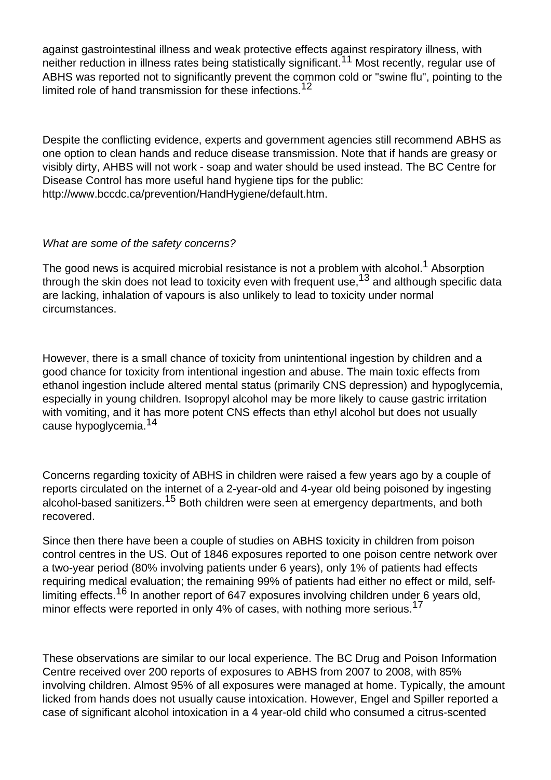against gastrointestinal illness and weak protective effects against respiratory illness, with neither reduction in illness rates being statistically significant.<sup>11</sup> Most recently, regular use of ABHS was reported not to significantly prevent the common cold or "swine flu", pointing to the limited role of hand transmission for these infections.<sup>12</sup>

Despite the conflicting evidence, experts and government agencies still recommend ABHS as one option to clean hands and reduce disease transmission. Note that if hands are greasy or visibly dirty, AHBS will not work - soap and water should be used instead. The BC Centre for Disease Control has more useful hand hygiene tips for the public: http://www.bccdc.ca/prevention/HandHygiene/default.htm.

## What are some of the safety concerns?

The good news is acquired microbial resistance is not a problem with alcohol.<sup>1</sup> Absorption through the skin does not lead to toxicity even with frequent use,  $13$  and although specific data are lacking, inhalation of vapours is also unlikely to lead to toxicity under normal circumstances.

However, there is a small chance of toxicity from unintentional ingestion by children and a good chance for toxicity from intentional ingestion and abuse. The main toxic effects from ethanol ingestion include altered mental status (primarily CNS depression) and hypoglycemia, especially in young children. Isopropyl alcohol may be more likely to cause gastric irritation with vomiting, and it has more potent CNS effects than ethyl alcohol but does not usually cause hypoglycemia.<sup>14</sup>

Concerns regarding toxicity of ABHS in children were raised a few years ago by a couple of reports circulated on the internet of a 2-year-old and 4-year old being poisoned by ingesting alcohol-based sanitizers.15 Both children were seen at emergency departments, and both recovered.

Since then there have been a couple of studies on ABHS toxicity in children from poison control centres in the US. Out of 1846 exposures reported to one poison centre network over a two-year period (80% involving patients under 6 years), only 1% of patients had effects requiring medical evaluation; the remaining 99% of patients had either no effect or mild, selflimiting effects.<sup>16</sup> In another report of 647 exposures involving children under 6 years old, minor effects were reported in only 4% of cases, with nothing more serious.<sup>17</sup>

These observations are similar to our local experience. The BC Drug and Poison Information Centre received over 200 reports of exposures to ABHS from 2007 to 2008, with 85% involving children. Almost 95% of all exposures were managed at home. Typically, the amount licked from hands does not usually cause intoxication. However, Engel and Spiller reported a case of significant alcohol intoxication in a 4 year-old child who consumed a citrus-scented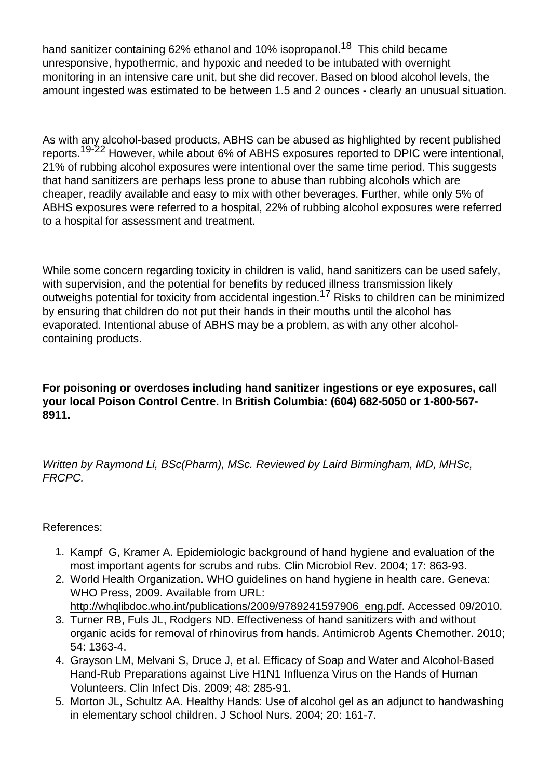hand sanitizer containing 62% ethanol and 10% isopropanol.<sup>19</sup> This child became unresponsive, hypothermic, and hypoxic and needed to be intubated with overnight monitoring in an intensive care unit, but she did recover. Based on blood alcohol levels, the amount ingested was estimated to be between 1.5 and 2 ounces - clearly an unusual situation.

As with any alcohol-based products, ABHS can be abused as highlighted by recent published reports.<sup>19-22</sup> However, while about 6% of ABHS exposures reported to DPIC were intentional, 21% of rubbing alcohol exposures were intentional over the same time period. This suggests that hand sanitizers are perhaps less prone to abuse than rubbing alcohols which are cheaper, readily available and easy to mix with other beverages. Further, while only 5% of ABHS exposures were referred to a hospital, 22% of rubbing alcohol exposures were referred to a hospital for assessment and treatment.

While some concern regarding toxicity in children is valid, hand sanitizers can be used safely, with supervision, and the potential for benefits by reduced illness transmission likely outweighs potential for toxicity from accidental ingestion.<sup>17</sup> Risks to children can be minimized by ensuring that children do not put their hands in their mouths until the alcohol has evaporated. Intentional abuse of ABHS may be a problem, as with any other alcoholcontaining products.

For poisoning or overdoses including hand sanitizer ingestions or eye exposures, call your local Poison Control Centre. In British Columbia: (604) 682-5050 or 1-800-567- 8911.

Written by Raymond Li, BSc(Pharm), MSc. Reviewed by Laird Birmingham, MD, MHSc, FRCPC.

## References:

- 1. Kampf G, Kramer A. Epidemiologic background of hand hygiene and evaluation of the most important agents for scrubs and rubs. Clin Microbiol Rev. 2004; 17: 863-93.
- 2. World Health Organization. WHO guidelines on hand hygiene in health care. Geneva: WHO Press, 2009. Available from URL: http://whqlibdoc.who.int/publications/2009/9789241597906\_eng.pdf. Accessed 09/2010.
- 3. Turner RB, Fuls JL, Rodgers ND. Effectiveness of hand sanitizers with and without organic acids for removal of rhinovirus from hands. Antimicrob Agents Chemother. 2010; 54: 1363-4.
- 4. [Grayson LM, Melvani S, Druce J, et al. Efficacy of Soap and Water a](http://whqlibdoc.who.int/publications/2009/9789241597906_eng.pdf)nd Alcohol-Based Hand-Rub Preparations against Live H1N1 Influenza Virus on the Hands of Human Volunteers. Clin Infect Dis. 2009; 48: 285-91.
- 5. Morton JL, Schultz AA. Healthy Hands: Use of alcohol gel as an adjunct to handwashing in elementary school children. J School Nurs. 2004; 20: 161-7.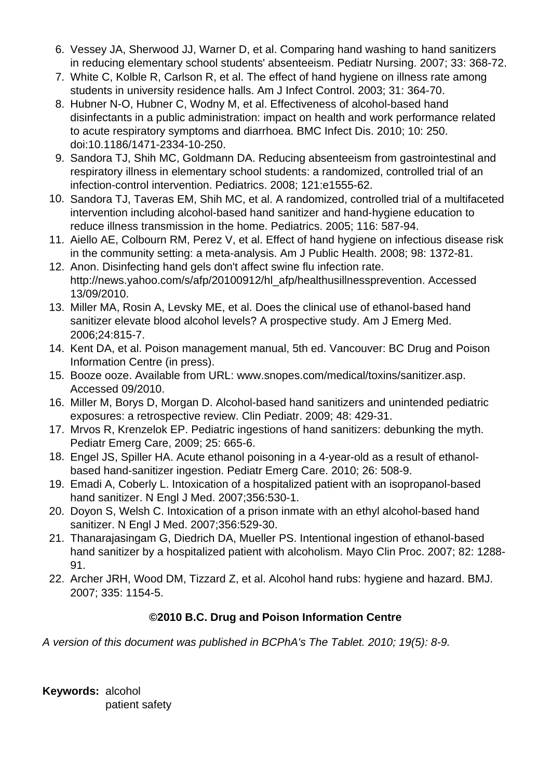- 6. Vessey JA, Sherwood JJ, Warner D, et al. Comparing hand washing to hand sanitizers in reducing elementary school students' absenteeism. Pediatr Nursing. 2007; 33: 368-72.
- 7. White C, Kolble R, Carlson R, et al. The effect of hand hygiene on illness rate among students in university residence halls. Am J Infect Control. 2003; 31: 364-70.
- 8. Hubner N-O, Hubner C, Wodny M, et al. Effectiveness of alcohol-based hand disinfectants in a public administration: impact on health and work performance related to acute respiratory symptoms and diarrhoea. BMC Infect Dis. 2010; 10: 250. doi:10.1186/1471-2334-10-250.
- 9. Sandora TJ, Shih MC, Goldmann DA. Reducing absenteeism from gastrointestinal and respiratory illness in elementary school students: a randomized, controlled trial of an infection-control intervention. Pediatrics. 2008; 121:e1555-62.
- 10. Sandora TJ, Taveras EM, Shih MC, et al. A randomized, controlled trial of a multifaceted intervention including alcohol-based hand sanitizer and hand-hygiene education to reduce illness transmission in the home. Pediatrics. 2005; 116: 587-94.
- 11. Aiello AE, Colbourn RM, Perez V, et al. Effect of hand hygiene on infectious disease risk in the community setting: a meta-analysis. Am J Public Health. 2008; 98: 1372-81.
- 12. Anon. Disinfecting hand gels don't affect swine flu infection rate. http://news.yahoo.com/s/afp/20100912/hl\_afp/healthusillnessprevention. Accessed 13/09/2010.
- 13. Miller MA, Rosin A, Levsky ME, et al. Does the clinical use of ethanol-based hand sanitizer elevate blood alcohol levels? A prospective study. Am J Emerg Med. 2006;24:815-7.
- 14. Kent DA, et al. Poison management manual, 5th ed. Vancouver: BC Drug and Poison Information Centre (in press).
- 15. Booze ooze. Available from URL: www.snopes.com/medical/toxins/sanitizer.asp. Accessed 09/2010.
- 16. Miller M, Borys D, Morgan D. Alcohol-based hand sanitizers and unintended pediatric exposures: a retrospective review. Clin Pediatr. 2009; 48: 429-31.
- 17. Mrvos R, Krenzelok EP. Pediatric ingestions of hand sanitizers: debunking the myth. Pediatr Emerg Care, 2009; 25: 665-6.
- 18. Engel JS, Spiller HA. Acute ethanol poisoning in a 4-year-old as a result of ethanolbased hand-sanitizer ingestion. Pediatr Emerg Care. 2010; 26: 508-9.
- 19. Emadi A, Coberly L. Intoxication of a hospitalized patient with an isopropanol-based hand sanitizer. N Engl J Med. 2007;356:530-1.
- 20. Doyon S, Welsh C. Intoxication of a prison inmate with an ethyl alcohol-based hand sanitizer. N Engl J Med. 2007;356:529-30.
- 21. Thanarajasingam G, Diedrich DA, Mueller PS. Intentional ingestion of ethanol-based hand sanitizer by a hospitalized patient with alcoholism. Mayo Clin Proc. 2007; 82: 1288- 91.
- 22. Archer JRH, Wood DM, Tizzard Z, et al. Alcohol hand rubs: hygiene and hazard. BMJ. 2007; 335: 1154-5.

## **©2010 B.C. Drug and Poison Information Centre**

A version of this document was published in BCPhA's The Tablet. 2010; 19(5): 8-9.

**Keywords:** alcohol patient safety